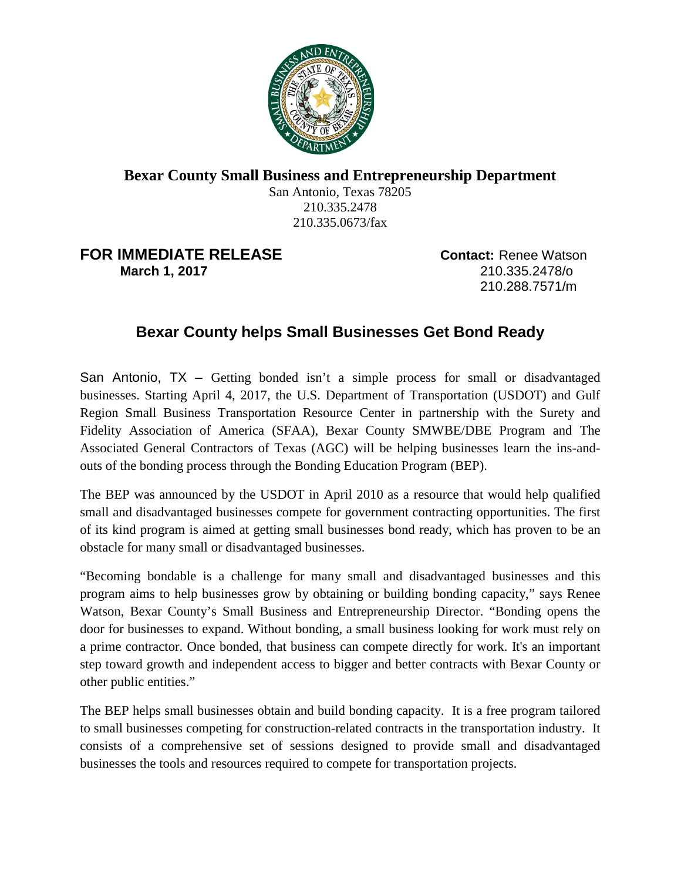

## **Bexar County Small Business and Entrepreneurship Department**

San Antonio, Texas 78205 210.335.2478 210.335.0673/fax

## **FOR IMMEDIATE RELEASE Contact:** Renee Watson **March 1, 2017** 210.335.2478/o

210.288.7571/m

## **Bexar County helps Small Businesses Get Bond Ready**

San Antonio, TX – Getting bonded isn't a simple process for small or disadvantaged businesses. Starting April 4, 2017, the U.S. Department of Transportation (USDOT) and Gulf Region Small Business Transportation Resource Center in partnership with the Surety and Fidelity Association of America (SFAA), Bexar County SMWBE/DBE Program and The Associated General Contractors of Texas (AGC) will be helping businesses learn the ins-andouts of the bonding process through the Bonding Education Program (BEP).

The BEP was announced by the USDOT in April 2010 as a resource that would help qualified small and disadvantaged businesses compete for government contracting opportunities. The first of its kind program is aimed at getting small businesses bond ready, which has proven to be an obstacle for many small or disadvantaged businesses.

"Becoming bondable is a challenge for many small and disadvantaged businesses and this program aims to help businesses grow by obtaining or building bonding capacity," says Renee Watson, Bexar County's Small Business and Entrepreneurship Director. "Bonding opens the door for businesses to expand. Without bonding, a small business looking for work must rely on a prime contractor. Once bonded, that business can compete directly for work. It's an important step toward growth and independent access to bigger and better contracts with Bexar County or other public entities."

The BEP helps small businesses obtain and build bonding capacity. It is a free program tailored to small businesses competing for construction-related contracts in the transportation industry. It consists of a comprehensive set of sessions designed to provide small and disadvantaged businesses the tools and resources required to compete for transportation projects.